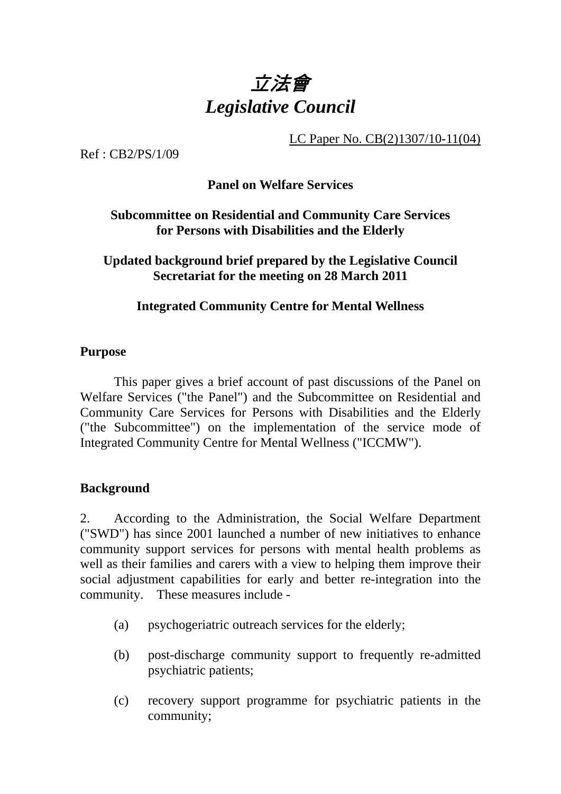

LC Paper No. CB(2)1307/10-11(04)

Ref : CB2/PS/1/09

## **Panel on Welfare Services**

# **Subcommittee on Residential and Community Care Services for Persons with Disabilities and the Elderly**

**Updated background brief prepared by the Legislative Council Secretariat for the meeting on 28 March 2011** 

## **Integrated Community Centre for Mental Wellness**

#### **Purpose**

. This paper gives a brief account of past discussions of the Panel on Welfare Services ("the Panel") and the Subcommittee on Residential and Community Care Services for Persons with Disabilities and the Elderly ("the Subcommittee") on the implementation of the service mode of Integrated Community Centre for Mental Wellness ("ICCMW").

## **Background**

2. According to the Administration, the Social Welfare Department ("SWD") has since 2001 launched a number of new initiatives to enhance community support services for persons with mental health problems as well as their families and carers with a view to helping them improve their social adjustment capabilities for early and better re-integration into the community. These measures include -

- (a) psychogeriatric outreach services for the elderly;
- (b) post-discharge community support to frequently re-admitted psychiatric patients;
- (c) recovery support programme for psychiatric patients in the community;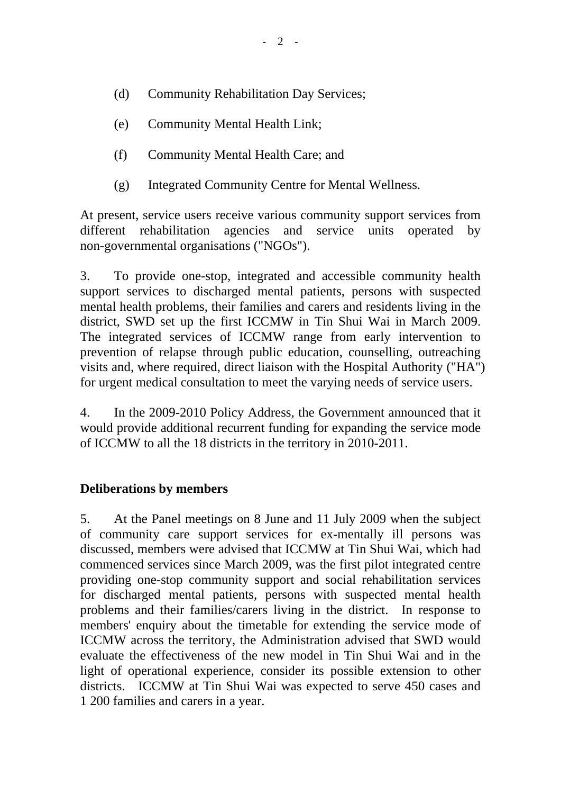- (d) Community Rehabilitation Day Services;
- (e) Community Mental Health Link;
- (f) Community Mental Health Care; and
- (g) Integrated Community Centre for Mental Wellness.

At present, service users receive various community support services from different rehabilitation agencies and service units operated by non-governmental organisations ("NGOs").

3. To provide one-stop, integrated and accessible community health support services to discharged mental patients, persons with suspected mental health problems, their families and carers and residents living in the district, SWD set up the first ICCMW in Tin Shui Wai in March 2009. The integrated services of ICCMW range from early intervention to prevention of relapse through public education, counselling, outreaching visits and, where required, direct liaison with the Hospital Authority ("HA") for urgent medical consultation to meet the varying needs of service users.

4. In the 2009-2010 Policy Address, the Government announced that it would provide additional recurrent funding for expanding the service mode of ICCMW to all the 18 districts in the territory in 2010-2011.

## **Deliberations by members**

5. At the Panel meetings on 8 June and 11 July 2009 when the subject of community care support services for ex-mentally ill persons was discussed, members were advised that ICCMW at Tin Shui Wai, which had commenced services since March 2009, was the first pilot integrated centre providing one-stop community support and social rehabilitation services for discharged mental patients, persons with suspected mental health problems and their families/carers living in the district. In response to members' enquiry about the timetable for extending the service mode of ICCMW across the territory, the Administration advised that SWD would evaluate the effectiveness of the new model in Tin Shui Wai and in the light of operational experience, consider its possible extension to other districts. ICCMW at Tin Shui Wai was expected to serve 450 cases and 1,200 families and carers in a year.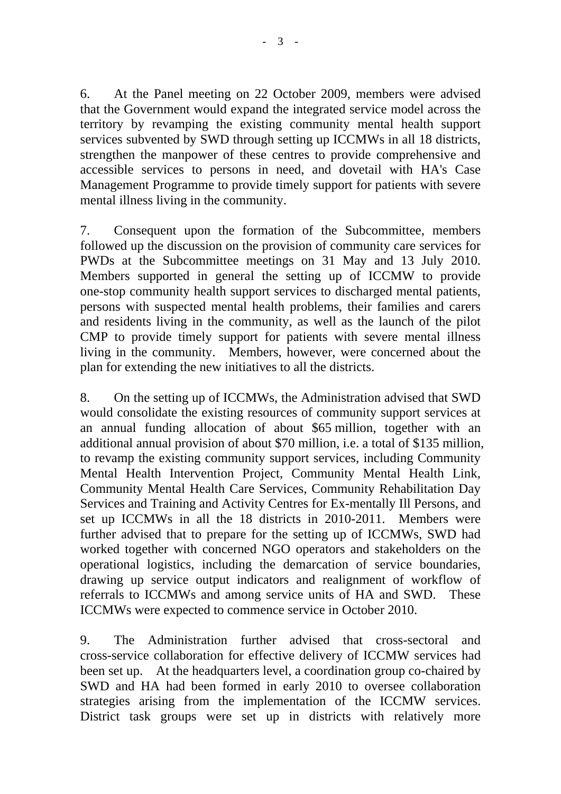6. At the Panel meeting on 22 October 2009, members were advised that the Government would expand the integrated service model across the territory by revamping the existing community mental health support services subvented by SWD through setting up ICCMWs in all 18 districts, strengthen the manpower of these centres to provide comprehensive and accessible services to persons in need, and dovetail with HA's Case Management Programme to provide timely support for patients with severe mental illness living in the community.

7. Consequent upon the formation of the Subcommittee, members followed up the discussion on the provision of community care services for PWDs at the Subcommittee meetings on 31 May and 13 July 2010. Members supported in general the setting up of ICCMW to provide one-stop community health support services to discharged mental patients, persons with suspected mental health problems, their families and carers and residents living in the community, as well as the launch of the pilot CMP to provide timely support for patients with severe mental illness living in the community. Members, however, were concerned about the plan for extending the new initiatives to all the districts.

8. On the setting up of ICCMWs, the Administration advised that SWD would consolidate the existing resources of community support services at an annual funding allocation of about \$65 million, together with an additional annual provision of about \$70 million, i.e. a total of \$135 million, to revamp the existing community support services, including Community Mental Health Intervention Project, Community Mental Health Link, Community Mental Health Care Services, Community Rehabilitation Day Services and Training and Activity Centres for Ex-mentally Ill Persons, and set up ICCMWs in all the 18 districts in 2010-2011. Members were further advised that to prepare for the setting up of ICCMWs, SWD had worked together with concerned NGO operators and stakeholders on the operational logistics, including the demarcation of service boundaries, drawing up service output indicators and realignment of workflow of referrals to ICCMWs and among service units of HA and SWD. These ICCMWs were expected to commence service in October 2010.

9. The Administration further advised that cross-sectoral and cross-service collaboration for effective delivery of ICCMW services had been set up. At the headquarters level, a coordination group co-chaired by SWD and HA had been formed in early 2010 to oversee collaboration strategies arising from the implementation of the ICCMW services. District task groups were set up in districts with relatively more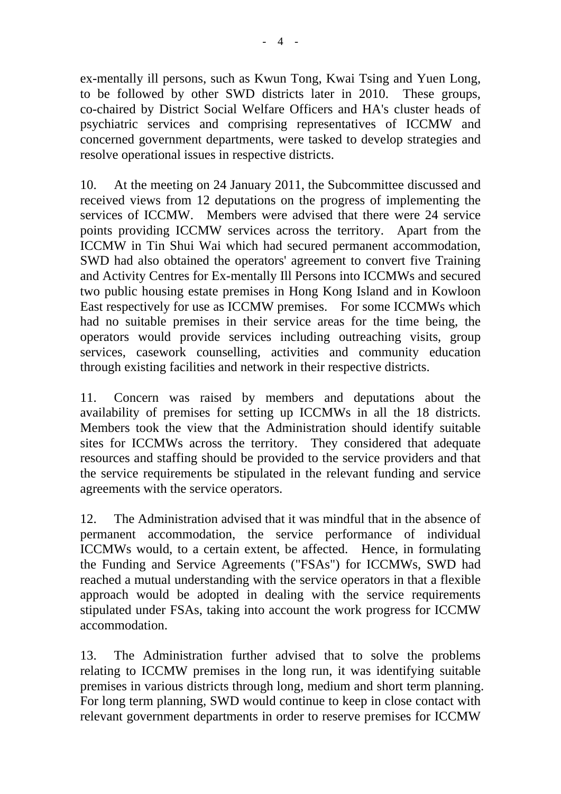ex-mentally ill persons, such as Kwun Tong, Kwai Tsing and Yuen Long, to be followed by other SWD districts later in 2010. These groups, co-chaired by District Social Welfare Officers and HA's cluster heads of psychiatric services and comprising representatives of ICCMW and concerned government departments, were tasked to develop strategies and resolve operational issues in respective districts.

10. At the meeting on 24 January 2011, the Subcommittee discussed and received views from 12 deputations on the progress of implementing the services of ICCMW. Members were advised that there were 24 service points providing ICCMW services across the territory. Apart from the ICCMW in Tin Shui Wai which had secured permanent accommodation, SWD had also obtained the operators' agreement to convert five Training and Activity Centres for Ex-mentally Ill Persons into ICCMWs and secured two public housing estate premises in Hong Kong Island and in Kowloon East respectively for use as ICCMW premises. For some ICCMWs which had no suitable premises in their service areas for the time being, the operators would provide services including outreaching visits, group services, casework counselling, activities and community education through existing facilities and network in their respective districts.

11. Concern was raised by members and deputations about the availability of premises for setting up ICCMWs in all the 18 districts. Members took the view that the Administration should identify suitable sites for ICCMWs across the territory. They considered that adequate resources and staffing should be provided to the service providers and that the service requirements be stipulated in the relevant funding and service agreements with the service operators.

12. The Administration advised that it was mindful that in the absence of permanent accommodation, the service performance of individual ICCMWs would, to a certain extent, be affected. Hence, in formulating the Funding and Service Agreements ("FSAs") for ICCMWs, SWD had reached a mutual understanding with the service operators in that a flexible approach would be adopted in dealing with the service requirements stipulated under FSAs, taking into account the work progress for ICCMW accommodation.

13. The Administration further advised that to solve the problems relating to ICCMW premises in the long run, it was identifying suitable premises in various districts through long, medium and short term planning. For long term planning, SWD would continue to keep in close contact with relevant government departments in order to reserve premises for ICCMW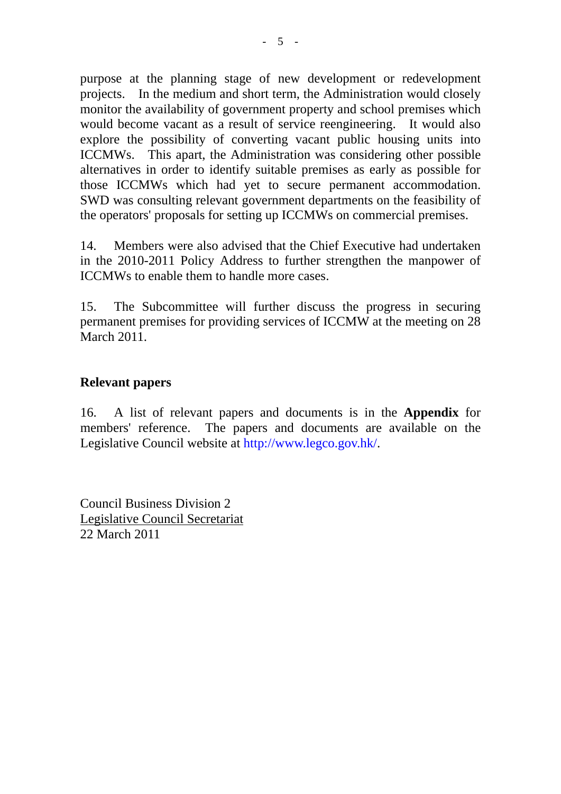purpose at the planning stage of new development or redevelopment projects. In the medium and short term, the Administration would closely monitor the availability of government property and school premises which would become vacant as a result of service reengineering. It would also explore the possibility of converting vacant public housing units into ICCMWs. This apart, the Administration was considering other possible alternatives in order to identify suitable premises as early as possible for those ICCMWs which had yet to secure permanent accommodation. SWD was consulting relevant government departments on the feasibility of the operators' proposals for setting up ICCMWs on commercial premises.

14. Members were also advised that the Chief Executive had undertaken in the 2010-2011 Policy Address to further strengthen the manpower of ICCMWs to enable them to handle more cases.

15. The Subcommittee will further discuss the progress in securing permanent premises for providing services of ICCMW at the meeting on 28 March 2011.

## **Relevant papers**

16. A list of relevant papers and documents is in the **Appendix** for members' reference. The papers and documents are available on the Legislative Council website at http://www.legco.gov.hk/.

Council Business Division 2 Legislative Council Secretariat 22 March 2011